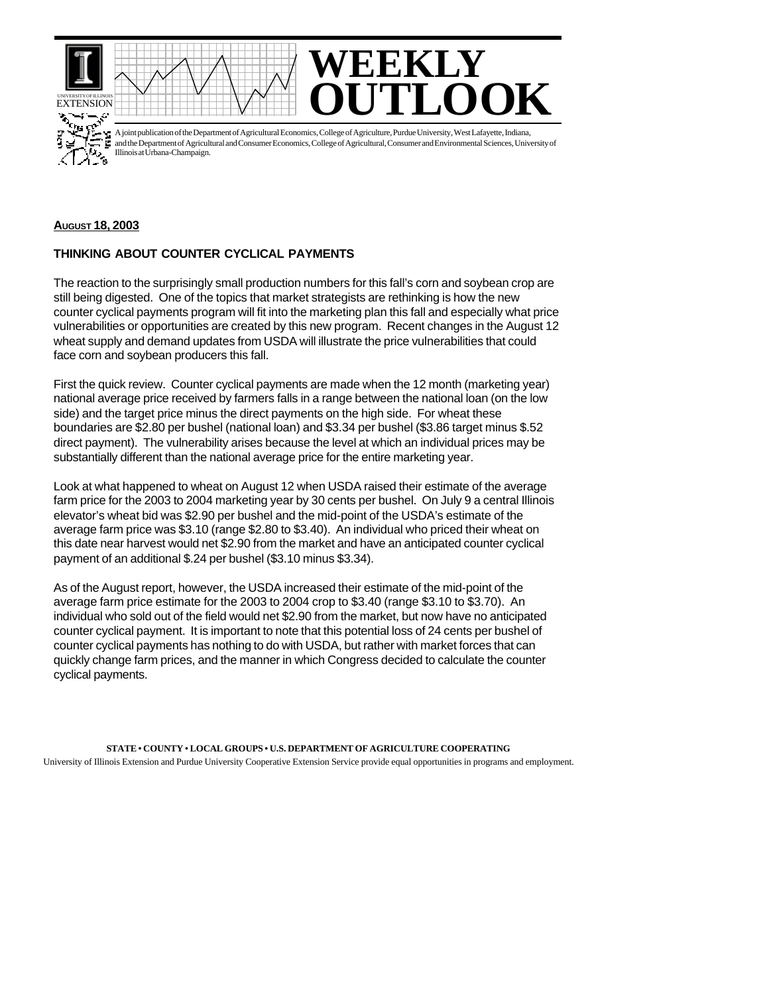





A joint publication of the Department of Agricultural Economics, College of Agriculture, Purdue University, West Lafayette, Indiana, and the Department of Agricultural and Consumer Economics, College of Agricultural, Consumer and Environmental Sciences, University of Illinois at Urbana-Champaign.

## **AUGUST 18, 2003**

## **THINKING ABOUT COUNTER CYCLICAL PAYMENTS**

The reaction to the surprisingly small production numbers for this fall's corn and soybean crop are still being digested. One of the topics that market strategists are rethinking is how the new counter cyclical payments program will fit into the marketing plan this fall and especially what price vulnerabilities or opportunities are created by this new program. Recent changes in the August 12 wheat supply and demand updates from USDA will illustrate the price vulnerabilities that could face corn and soybean producers this fall.

First the quick review. Counter cyclical payments are made when the 12 month (marketing year) national average price received by farmers falls in a range between the national loan (on the low side) and the target price minus the direct payments on the high side. For wheat these boundaries are \$2.80 per bushel (national loan) and \$3.34 per bushel (\$3.86 target minus \$.52 direct payment). The vulnerability arises because the level at which an individual prices may be substantially different than the national average price for the entire marketing year.

Look at what happened to wheat on August 12 when USDA raised their estimate of the average farm price for the 2003 to 2004 marketing year by 30 cents per bushel. On July 9 a central Illinois elevator's wheat bid was \$2.90 per bushel and the mid-point of the USDA's estimate of the average farm price was \$3.10 (range \$2.80 to \$3.40). An individual who priced their wheat on this date near harvest would net \$2.90 from the market and have an anticipated counter cyclical payment of an additional \$.24 per bushel (\$3.10 minus \$3.34).

As of the August report, however, the USDA increased their estimate of the mid-point of the average farm price estimate for the 2003 to 2004 crop to \$3.40 (range \$3.10 to \$3.70). An individual who sold out of the field would net \$2.90 from the market, but now have no anticipated counter cyclical payment. It is important to note that this potential loss of 24 cents per bushel of counter cyclical payments has nothing to do with USDA, but rather with market forces that can quickly change farm prices, and the manner in which Congress decided to calculate the counter cyclical payments.

**STATE • COUNTY • LOCAL GROUPS • U.S. DEPARTMENT OF AGRICULTURE COOPERATING** University of Illinois Extension and Purdue University Cooperative Extension Service provide equal opportunities in programs and employment.